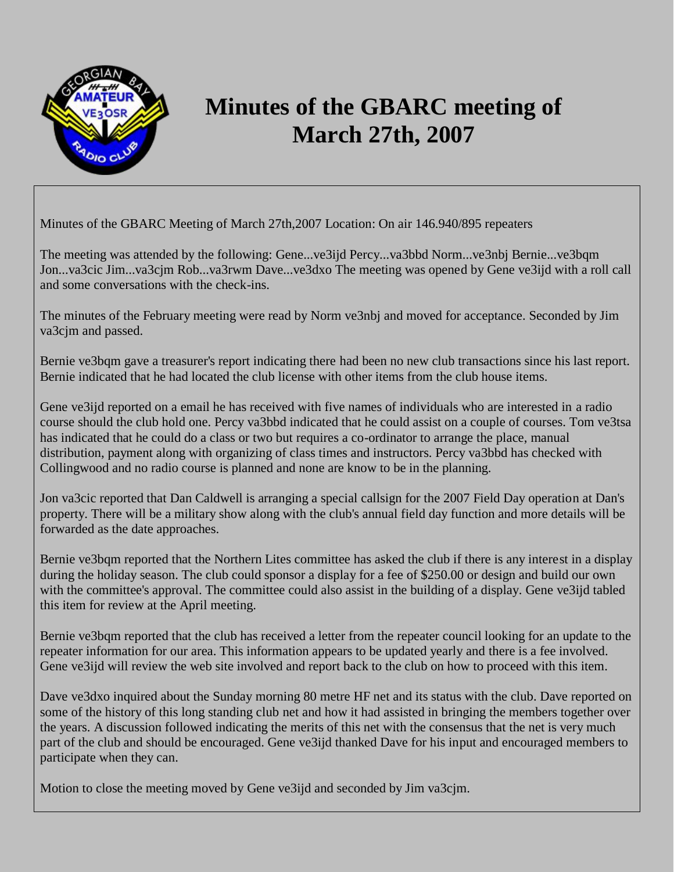

## **Minutes of the GBARC meeting of March 27th, 2007**

Minutes of the GBARC Meeting of March 27th,2007 Location: On air 146.940/895 repeaters

The meeting was attended by the following: Gene...ve3ijd Percy...va3bbd Norm...ve3nbj Bernie...ve3bqm Jon...va3cic Jim...va3cjm Rob...va3rwm Dave...ve3dxo The meeting was opened by Gene ve3ijd with a roll call and some conversations with the check-ins.

The minutes of the February meeting were read by Norm ve3nbj and moved for acceptance. Seconded by Jim va3cjm and passed.

Bernie ve3bqm gave a treasurer's report indicating there had been no new club transactions since his last report. Bernie indicated that he had located the club license with other items from the club house items.

Gene ve3ijd reported on a email he has received with five names of individuals who are interested in a radio course should the club hold one. Percy va3bbd indicated that he could assist on a couple of courses. Tom ve3tsa has indicated that he could do a class or two but requires a co-ordinator to arrange the place, manual distribution, payment along with organizing of class times and instructors. Percy va3bbd has checked with Collingwood and no radio course is planned and none are know to be in the planning.

Jon va3cic reported that Dan Caldwell is arranging a special callsign for the 2007 Field Day operation at Dan's property. There will be a military show along with the club's annual field day function and more details will be forwarded as the date approaches.

Bernie ve3bqm reported that the Northern Lites committee has asked the club if there is any interest in a display during the holiday season. The club could sponsor a display for a fee of \$250.00 or design and build our own with the committee's approval. The committee could also assist in the building of a display. Gene ve3ijd tabled this item for review at the April meeting.

Bernie ve3bqm reported that the club has received a letter from the repeater council looking for an update to the repeater information for our area. This information appears to be updated yearly and there is a fee involved. Gene ve3ijd will review the web site involved and report back to the club on how to proceed with this item.

Dave ve3dxo inquired about the Sunday morning 80 metre HF net and its status with the club. Dave reported on some of the history of this long standing club net and how it had assisted in bringing the members together over the years. A discussion followed indicating the merits of this net with the consensus that the net is very much part of the club and should be encouraged. Gene ve3ijd thanked Dave for his input and encouraged members to participate when they can.

Motion to close the meeting moved by Gene ve3ijd and seconded by Jim va3cjm.